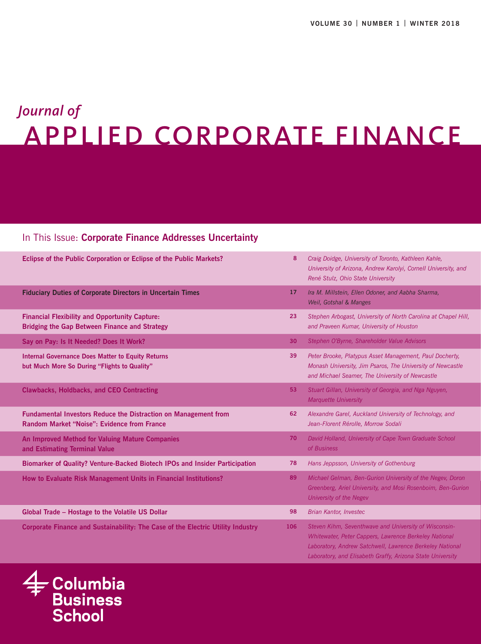# APPLIED CORPORATE FINANCE *Journal of*

## In This Issue: **Corporate Finance Addresses Uncertainty**

| Eclipse of the Public Corporation or Eclipse of the Public Markets?                                                   | 8   | Craig Doidge, University of Toronto, Kathleen Kahle,<br>University of Arizona, Andrew Karolyi, Cornell University, and<br>René Stulz, Ohio State University                                                                              |
|-----------------------------------------------------------------------------------------------------------------------|-----|------------------------------------------------------------------------------------------------------------------------------------------------------------------------------------------------------------------------------------------|
| <b>Fiduciary Duties of Corporate Directors in Uncertain Times</b>                                                     | 17  | Ira M. Millstein, Ellen Odoner, and Aabha Sharma,<br>Weil, Gotshal & Manges                                                                                                                                                              |
| <b>Financial Flexibility and Opportunity Capture:</b><br><b>Bridging the Gap Between Finance and Strategy</b>         | 23  | Stephen Arbogast, University of North Carolina at Chapel Hill,<br>and Praveen Kumar, University of Houston                                                                                                                               |
| Say on Pay: Is It Needed? Does It Work?                                                                               | 30  | Stephen O'Byrne, Shareholder Value Advisors                                                                                                                                                                                              |
| <b>Internal Governance Does Matter to Equity Returns</b><br>but Much More So During "Flights to Quality"              | 39  | Peter Brooke, Platypus Asset Management, Paul Docherty,<br>Monash University, Jim Psaros, The University of Newcastle<br>and Michael Seamer, The University of Newcastle                                                                 |
| <b>Clawbacks, Holdbacks, and CEO Contracting</b>                                                                      | 53  | Stuart Gillan, University of Georgia, and Nga Nguyen,<br><b>Marquette University</b>                                                                                                                                                     |
| <b>Fundamental Investors Reduce the Distraction on Management from</b><br>Random Market "Noise": Evidence from France | 62  | Alexandre Garel, Auckland University of Technology, and<br>Jean-Florent Rérolle, Morrow Sodali                                                                                                                                           |
| An Improved Method for Valuing Mature Companies<br>and Estimating Terminal Value                                      | 70  | David Holland, University of Cape Town Graduate School<br>of Business                                                                                                                                                                    |
| Biomarker of Quality? Venture-Backed Biotech IPOs and Insider Participation                                           | 78  | Hans Jeppsson, University of Gothenburg                                                                                                                                                                                                  |
| How to Evaluate Risk Management Units in Financial Institutions?                                                      | 89  | Michael Gelman, Ben-Gurion University of the Negev, Doron<br>Greenberg, Ariel University, and Mosi Rosenboim, Ben-Gurion<br>University of the Negev                                                                                      |
| Global Trade - Hostage to the Volatile US Dollar                                                                      | 98  | <b>Brian Kantor, Investec</b>                                                                                                                                                                                                            |
| Corporate Finance and Sustainability: The Case of the Electric Utility Industry                                       | 106 | Steven Kihm, Seventhwave and University of Wisconsin-<br>Whitewater, Peter Cappers, Lawrence Berkeley National<br>Laboratory, Andrew Satchwell, Lawrence Berkeley National<br>Laboratory, and Elisabeth Graffy, Arizona State University |

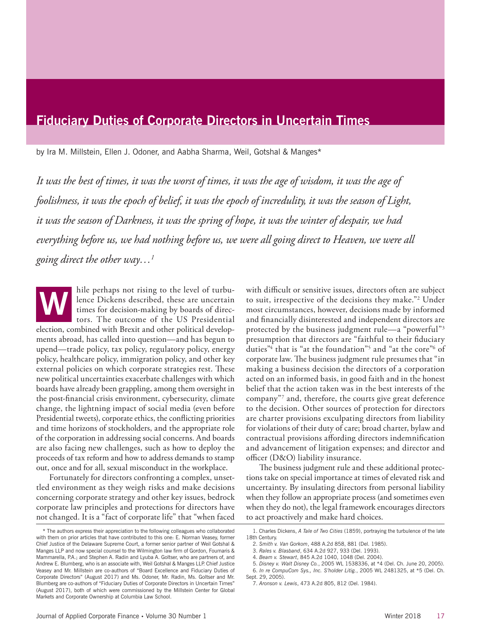# **Fiduciary Duties of Corporate Directors in Uncertain Times**

by Ira M. Millstein, Ellen J. Odoner, and Aabha Sharma, Weil, Gotshal & Manges\*

*It was the best of times, it was the worst of times, it was the age of wisdom, it was the age of foolishness, it was the epoch of belief, it was the epoch of incredulity, it was the season of Light, it was the season of Darkness, it was the spring of hope, it was the winter of despair, we had everything before us, we had nothing before us, we were all going direct to Heaven, we were all going direct the other way…1*

hile perhaps not rising to the level of turbulence Dickens described, these are uncertain times for decision-making by boards of directors. The outcome of the US Presidential election, combined with Brexit and other political developments abroad, has called into question—and has begun to upend—trade policy, tax policy, regulatory policy, energy policy, healthcare policy, immigration policy, and other key external policies on which corporate strategies rest. These new political uncertainties exacerbate challenges with which boards have already been grappling, among them oversight in the post-financial crisis environment, cybersecurity, climate change, the lightning impact of social media (even before Presidential tweets), corporate ethics, the conflicting priorities and time horizons of stockholders, and the appropriate role of the corporation in addressing social concerns. And boards are also facing new challenges, such as how to deploy the proceeds of tax reform and how to address demands to stamp out, once and for all, sexual misconduct in the workplace. **W**

Fortunately for directors confronting a complex, unsettled environment as they weigh risks and make decisions concerning corporate strategy and other key issues, bedrock corporate law principles and protections for directors have not changed. It is a "fact of corporate life" that "when faced with difficult or sensitive issues, directors often are subject to suit, irrespective of the decisions they make."2 Under most circumstances, however, decisions made by informed and financially disinterested and independent directors are protected by the business judgment rule—a "powerful"3 presumption that directors are "faithful to their fiduciary duties"4 that is "at the foundation"5 and "at the core"6 of corporate law. The business judgment rule presumes that "in making a business decision the directors of a corporation acted on an informed basis, in good faith and in the honest belief that the action taken was in the best interests of the company"7 and, therefore, the courts give great deference to the decision. Other sources of protection for directors are charter provisions exculpating directors from liability for violations of their duty of care; broad charter, bylaw and contractual provisions affording directors indemnification and advancement of litigation expenses; and director and officer (D&O) liability insurance.

The business judgment rule and these additional protections take on special importance at times of elevated risk and uncertainty. By insulating directors from personal liability when they follow an appropriate process (and sometimes even when they do not), the legal framework encourages directors to act proactively and make hard choices.

- Sept. 29, 2005).
- 7. *Aronson v. Lewis*, 473 A.2d 805, 812 (Del. 1984).

<sup>\*</sup> The authors express their appreciation to the following colleagues who collaborated with them on prior articles that have contributed to this one: E. Norman Veasey, former Chief Justice of the Delaware Supreme Court, a former senior partner of Weil Gotshal & Manges LLP and now special counsel to the Wilmington law firm of Gordon, Foumaris & Mammarella, P.A.; and Stephen A. Radin and Lyuba A. Goltser, who are partners of, and Andrew E. Blumberg, who is an associate with, Weil Gotshal & Manges LLP. Chief Justice Veasey and Mr. Millstein are co-authors of "Board Excellence and Fiduciary Duties of Corporate Directors" (August 2017) and Ms. Odoner, Mr. Radin, Ms. Goltser and Mr. Blumberg are co-authors of "Fiduciary Duties of Corporate Directors in Uncertain Times" (August 2017), both of which were commissioned by the Millstein Center for Global Markets and Corporate Ownership at Columbia Law School.

<sup>1.</sup> Charles Dickens, *A Tale of Two Cities* (1859), portraying the turbulence of the late 18th Century.

<sup>2.</sup> *Smith v. Van Gorkom*, 488 A.2d 858, 881 (Del. 1985).

<sup>3.</sup> *Rales v. Blasband*, 634 A.2d 927, 933 (Del. 1993).

<sup>4.</sup> *Beam v. Stewart*, 845 A.2d 1040, 1048 (Del. 2004).

<sup>5.</sup> *Disney v. Walt Disney Co.*, 2005 WL 1538336, at \*4 (Del. Ch. June 20, 2005). 6. *In re CompuCom Sys., Inc. S'holder Litig.*, 2005 WL 2481325, at \*5 (Del. Ch.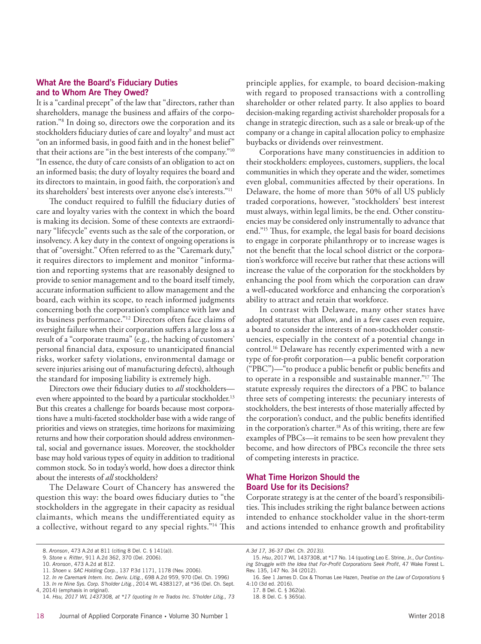#### **What Are the Board's Fiduciary Duties and to Whom Are They Owed?**

It is a "cardinal precept" of the law that "directors, rather than shareholders, manage the business and affairs of the corporation."8 In doing so, directors owe the corporation and its stockholders fiduciary duties of care and loyalty<sup>9</sup> and must act "on an informed basis, in good faith and in the honest belief" that their actions are "in the best interests of the company."10 "In essence, the duty of care consists of an obligation to act on an informed basis; the duty of loyalty requires the board and its directors to maintain, in good faith, the corporation's and its shareholders' best interests over anyone else's interests."11

The conduct required to fulfill the fiduciary duties of care and loyalty varies with the context in which the board is making its decision. Some of these contexts are extraordinary "lifecycle" events such as the sale of the corporation, or insolvency. A key duty in the context of ongoing operations is that of "oversight." Often referred to as the "Caremark duty," it requires directors to implement and monitor "information and reporting systems that are reasonably designed to provide to senior management and to the board itself timely, accurate information sufficient to allow management and the board, each within its scope, to reach informed judgments concerning both the corporation's compliance with law and its business performance."12 Directors often face claims of oversight failure when their corporation suffers a large loss as a result of a "corporate trauma" (e.g., the hacking of customers' personal financial data, exposure to unanticipated financial risks, worker safety violations, environmental damage or severe injuries arising out of manufacturing defects), although the standard for imposing liability is extremely high.

Directors owe their fiduciary duties to *all* stockholders even where appointed to the board by a particular stockholder.<sup>13</sup> But this creates a challenge for boards because most corporations have a multi-faceted stockholder base with a wide range of priorities and views on strategies, time horizons for maximizing returns and how their corporation should address environmental, social and governance issues. Moreover, the stockholder base may hold various types of equity in addition to traditional common stock. So in today's world, how does a director think about the interests of *all* stockholders?

The Delaware Court of Chancery has answered the question this way: the board owes fiduciary duties to "the stockholders in the aggregate in their capacity as residual claimants, which means the undifferentiated equity as a collective, without regard to any special rights."14 This

principle applies, for example, to board decision-making with regard to proposed transactions with a controlling shareholder or other related party. It also applies to board decision-making regarding activist shareholder proposals for a change in strategic direction, such as a sale or break-up of the company or a change in capital allocation policy to emphasize buybacks or dividends over reinvestment.

Corporations have many constituencies in addition to their stockholders: employees, customers, suppliers, the local communities in which they operate and the wider, sometimes even global, communities affected by their operations. In Delaware, the home of more than 50% of all US publicly traded corporations, however, "stockholders' best interest must always, within legal limits, be the end. Other constituencies may be considered only instrumentally to advance that end."15 Thus, for example, the legal basis for board decisions to engage in corporate philanthropy or to increase wages is not the benefit that the local school district or the corporation's workforce will receive but rather that these actions will increase the value of the corporation for the stockholders by enhancing the pool from which the corporation can draw a well-educated workforce and enhancing the corporation's ability to attract and retain that workforce.

In contrast with Delaware, many other states have adopted statutes that allow, and in a few cases even require, a board to consider the interests of non-stockholder constituencies, especially in the context of a potential change in control.<sup>16</sup> Delaware has recently experimented with a new type of for-profit corporation—a public benefit corporation ("PBC")—"to produce a public benefit or public benefits and to operate in a responsible and sustainable manner."17 The statute expressly requires the directors of a PBC to balance three sets of competing interests: the pecuniary interests of stockholders, the best interests of those materially affected by the corporation's conduct, and the public benefits identified in the corporation's charter.<sup>18</sup> As of this writing, there are few examples of PBCs—it remains to be seen how prevalent they become, and how directors of PBCs reconcile the three sets of competing interests in practice.

## **What Time Horizon Should the Board Use for its Decisions?**

Corporate strategy is at the center of the board's responsibilities. This includes striking the right balance between actions intended to enhance stockholder value in the short-term and actions intended to enhance growth and profitability

```
18. 8 Del. C. § 365(a).
```
<sup>8.</sup> *Aronson*, 473 A.2d at 811 (citing 8 Del. C. § 141(a)).

<sup>9.</sup> *Stone v. Ritter*, 911 A.2d 362, 370 (Del. 2006).

<sup>10.</sup> *Aronson*, 473 A.2d at 812.

<sup>11.</sup> *Shoen v. SAC Holding Corp.*, 137 P.3d 1171, 1178 (Nev. 2006).

<sup>12.</sup> *In re Caremark Intern. Inc. Deriv. Litig.*, 698 A.2d 959, 970 (Del. Ch. 1996) 13. *In re Nine Sys. Corp. S'holder Litig.*, 2014 WL 4383127, at \*36 (Del. Ch. Sept. 4, 2014) (emphasis in original).

<sup>14.</sup> *Hsu, 2017 WL 1437308, at \*17 (quoting In re Trados Inc. S'holder Litig., 73* 

*A.3d 17, 36-37 (Del. Ch. 2013)).*

<sup>15.</sup> *Hsu*, 2017 WL 1437308, at \*17 No. 14 (quoting Leo E. Strine, Jr., *Our Continuing Struggle with the Idea that For-Profit Corporations Seek Profit*, 47 Wake Forest L. Rev. 135, 147 No. 34 (2012).

<sup>16.</sup> *See* 1 James D. Cox & Thomas Lee Hazen, *Treatise on the Law of Corporations* § 4:10 (3d ed. 2016).

<sup>17. 8</sup> Del. C. § 362(a).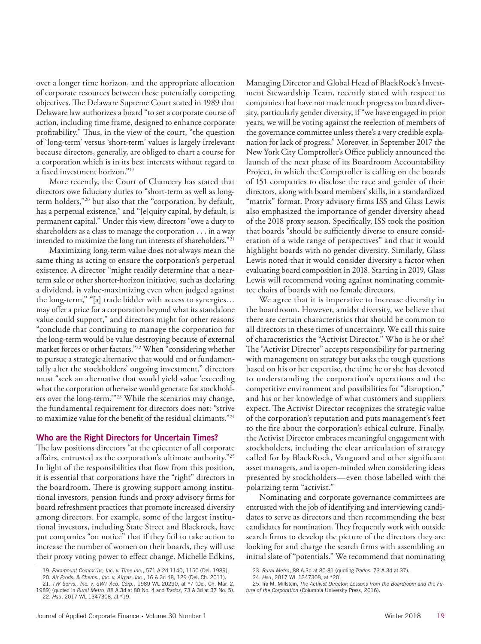over a longer time horizon, and the appropriate allocation of corporate resources between these potentially competing objectives. The Delaware Supreme Court stated in 1989 that Delaware law authorizes a board "to set a corporate course of action, including time frame, designed to enhance corporate profitability." Thus, in the view of the court, "the question of 'long-term' versus 'short-term' values is largely irrelevant because directors, generally, are obliged to chart a course for a corporation which is in its best interests without regard to a fixed investment horizon."19

More recently, the Court of Chancery has stated that directors owe fiduciary duties to "short-term as well as longterm holders,"20 but also that the "corporation, by default, has a perpetual existence," and "[e]quity capital, by default, is permanent capital." Under this view, directors "owe a duty to shareholders as a class to manage the corporation . . . in a way intended to maximize the long run interests of shareholders."21

Maximizing long-term value does not always mean the same thing as acting to ensure the corporation's perpetual existence. A director "might readily determine that a nearterm sale or other shorter-horizon initiative, such as declaring a dividend, is value-maximizing even when judged against the long-term," "[a] trade bidder with access to synergies… may offer a price for a corporation beyond what its standalone value could support," and directors might for other reasons "conclude that continuing to manage the corporation for the long-term would be value destroying because of external market forces or other factors."22 When "considering whether to pursue a strategic alternative that would end or fundamentally alter the stockholders' ongoing investment," directors must "seek an alternative that would yield value 'exceeding what the corporation otherwise would generate for stockholders over the long-term.'"23 While the scenarios may change, the fundamental requirement for directors does not: "strive to maximize value for the benefit of the residual claimants."24

#### **Who are the Right Directors for Uncertain Times?**

The law positions directors "at the epicenter of all corporate affairs, entrusted as the corporation's ultimate authority."25 In light of the responsibilities that flow from this position, it is essential that corporations have the "right" directors in the boardroom. There is growing support among institutional investors, pension funds and proxy advisory firms for board refreshment practices that promote increased diversity among directors. For example, some of the largest institutional investors, including State Street and Blackrock, have put companies "on notice" that if they fail to take action to increase the number of women on their boards, they will use their proxy voting power to effect change. Michelle Edkins,

We agree that it is imperative to increase diversity in the boardroom. However, amidst diversity, we believe that there are certain characteristics that should be common to all directors in these times of uncertainty. We call this suite of characteristics the "Activist Director." Who is he or she? The "Activist Director" accepts responsibility for partnering with management on strategy but asks the tough questions based on his or her expertise, the time he or she has devoted to understanding the corporation's operations and the competitive environment and possibilities for "disruption," and his or her knowledge of what customers and suppliers expect. The Activist Director recognizes the strategic value of the corporation's reputation and puts management's feet to the fire about the corporation's ethical culture. Finally, the Activist Director embraces meaningful engagement with stockholders, including the clear articulation of strategy called for by BlackRock, Vanguard and other significant asset managers, and is open-minded when considering ideas presented by stockholders—even those labelled with the polarizing term "activist."

Nominating and corporate governance committees are entrusted with the job of identifying and interviewing candidates to serve as directors and then recommending the best candidates for nomination. They frequently work with outside search firms to develop the picture of the directors they are looking for and charge the search firms with assembling an initial slate of "potentials." We recommend that nominating

Managing Director and Global Head of BlackRock's Investment Stewardship Team, recently stated with respect to companies that have not made much progress on board diversity, particularly gender diversity, if "we have engaged in prior years, we will be voting against the reelection of members of the governance committee unless there's a very credible explanation for lack of progress." Moreover, in September 2017 the New York City Comptroller's Office publicly announced the launch of the next phase of its Boardroom Accountability Project, in which the Comptroller is calling on the boards of 151 companies to disclose the race and gender of their directors, along with board members' skills, in a standardized "matrix" format. Proxy advisory firms ISS and Glass Lewis also emphasized the importance of gender diversity ahead of the 2018 proxy season. Specifically, ISS took the position that boards "should be sufficiently diverse to ensure consideration of a wide range of perspectives" and that it would highlight boards with no gender diversity. Similarly, Glass Lewis noted that it would consider diversity a factor when evaluating board composition in 2018. Starting in 2019, Glass Lewis will recommend voting against nominating committee chairs of boards with no female directors.

<sup>19.</sup> *Paramount Commc'ns, Inc. v. Time Inc.*, 571 A.2d 1140, 1150 (Del. 1989). 20. *Air Prods. & Chems., Inc. v. Airgas, Inc.*, 16 A.3d 48, 129 (Del. Ch. 2011).

<sup>21.</sup> *TW Servs., Inc. v. SWT Acq. Corp.*, 1989 WL 20290, at \*7 (Del. Ch. Mar. 2, 1989) (quoted in *Rural Metro*, 88 A.3d at 80 No. 4 and *Trados*, 73 A.3d at 37 No. 5).

<sup>22.</sup> *Hsu*, 2017 WL 1347308, at \*19.

<sup>23.</sup> *Rural Metro*, 88 A.3d at 80-81 (quoting *Trados*, 73 A.3d at 37).

<sup>24.</sup> *Hsu*, 2017 WL 1347308, at \*20.

<sup>25.</sup> Ira M. Millstein, *The Activist Director: Lessons from the Boardroom and the Future of the Corporation* (Columbia University Press, 2016).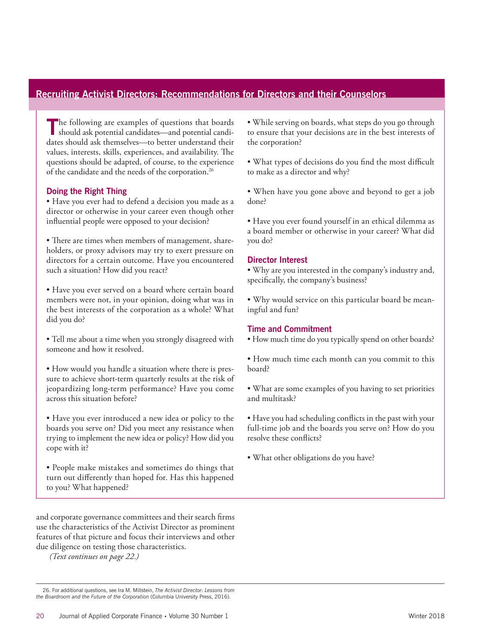## **Recruiting Activist Directors: Recommendations for Directors and their Counselors**

The following are examples of questions that boards should ask potential candidates—and potential candidates should ask themselves—to better understand their values, interests, skills, experiences, and availability. The questions should be adapted, of course, to the experience of the candidate and the needs of the corporation.26

## **Doing the Right Thing**

• Have you ever had to defend a decision you made as a director or otherwise in your career even though other influential people were opposed to your decision?

• There are times when members of management, shareholders, or proxy advisors may try to exert pressure on directors for a certain outcome. Have you encountered such a situation? How did you react?

• Have you ever served on a board where certain board members were not, in your opinion, doing what was in the best interests of the corporation as a whole? What did you do?

• Tell me about a time when you strongly disagreed with someone and how it resolved.

• How would you handle a situation where there is pressure to achieve short-term quarterly results at the risk of jeopardizing long-term performance? Have you come across this situation before?

• Have you ever introduced a new idea or policy to the boards you serve on? Did you meet any resistance when trying to implement the new idea or policy? How did you cope with it?

• People make mistakes and sometimes do things that turn out differently than hoped for. Has this happened to you? What happened?

and corporate governance committees and their search firms use the characteristics of the Activist Director as prominent features of that picture and focus their interviews and other due diligence on testing those characteristics.

*(Text continues on page 22.)*

• While serving on boards, what steps do you go through to ensure that your decisions are in the best interests of the corporation?

• What types of decisions do you find the most difficult to make as a director and why?

• When have you gone above and beyond to get a job done?

• Have you ever found yourself in an ethical dilemma as a board member or otherwise in your career? What did you do?

## **Director Interest**

• Why are you interested in the company's industry and, specifically, the company's business?

• Why would service on this particular board be meaningful and fun?

## **Time and Commitment**

• How much time do you typically spend on other boards?

• How much time each month can you commit to this board?

• What are some examples of you having to set priorities and multitask?

• Have you had scheduling conflicts in the past with your full-time job and the boards you serve on? How do you resolve these conflicts?

• What other obligations do you have?

<sup>26.</sup> For additional questions, see Ira M. Millstein, *The Activist Director: Lessons from the Boardroom and the Future of the Corporation* (Columbia University Press, 2016).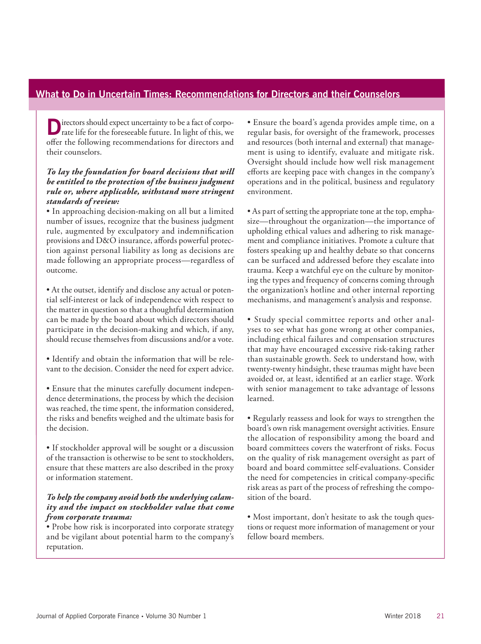## **What to Do in Uncertain Times: Recommendations for Directors and their Counselors**

**D**irectors should expect uncertainty to be a fact of corpo-<br>rate life for the foreseeable future. In light of this, we offer the following recommendations for directors and their counselors.

## *To lay the foundation for board decisions that will be entitled to the protection of the business judgment rule or, where applicable, withstand more stringent standards of review:*

• In approaching decision-making on all but a limited number of issues, recognize that the business judgment rule, augmented by exculpatory and indemnification provisions and D&O insurance, affords powerful protection against personal liability as long as decisions are made following an appropriate process—regardless of outcome.

• At the outset, identify and disclose any actual or potential self-interest or lack of independence with respect to the matter in question so that a thoughtful determination can be made by the board about which directors should participate in the decision-making and which, if any, should recuse themselves from discussions and/or a vote.

• Identify and obtain the information that will be relevant to the decision. Consider the need for expert advice.

- Ensure that the minutes carefully document independence determinations, the process by which the decision was reached, the time spent, the information considered, the risks and benefits weighed and the ultimate basis for the decision.
- If stockholder approval will be sought or a discussion of the transaction is otherwise to be sent to stockholders, ensure that these matters are also described in the proxy or information statement.

## *To help the company avoid both the underlying calamity and the impact on stockholder value that come from corporate trauma:*

• Probe how risk is incorporated into corporate strategy and be vigilant about potential harm to the company's reputation.

• Ensure the board's agenda provides ample time, on a regular basis, for oversight of the framework, processes and resources (both internal and external) that management is using to identify, evaluate and mitigate risk. Oversight should include how well risk management efforts are keeping pace with changes in the company's operations and in the political, business and regulatory environment.

• As part of setting the appropriate tone at the top, emphasize—throughout the organization—the importance of upholding ethical values and adhering to risk management and compliance initiatives. Promote a culture that fosters speaking up and healthy debate so that concerns can be surfaced and addressed before they escalate into trauma. Keep a watchful eye on the culture by monitoring the types and frequency of concerns coming through the organization's hotline and other internal reporting mechanisms, and management's analysis and response.

• Study special committee reports and other analyses to see what has gone wrong at other companies, including ethical failures and compensation structures that may have encouraged excessive risk-taking rather than sustainable growth. Seek to understand how, with twenty-twenty hindsight, these traumas might have been avoided or, at least, identified at an earlier stage. Work with senior management to take advantage of lessons learned.

• Regularly reassess and look for ways to strengthen the board's own risk management oversight activities. Ensure the allocation of responsibility among the board and board committees covers the waterfront of risks. Focus on the quality of risk management oversight as part of board and board committee self-evaluations. Consider the need for competencies in critical company-specific risk areas as part of the process of refreshing the composition of the board.

• Most important, don't hesitate to ask the tough questions or request more information of management or your fellow board members.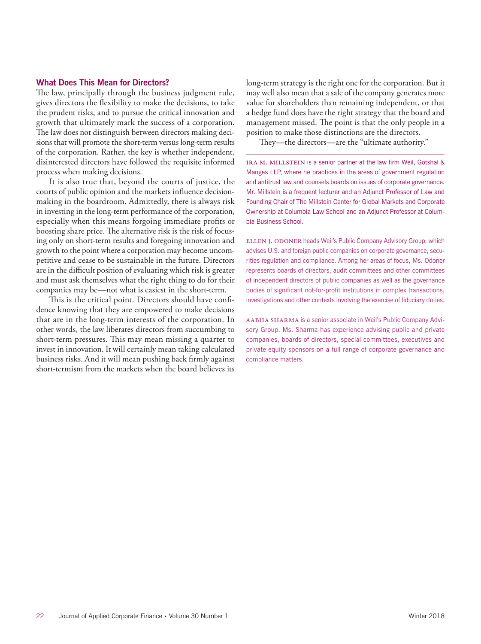#### **What Does This Mean for Directors?**

The law, principally through the business judgment rule, gives directors the flexibility to make the decisions, to take the prudent risks, and to pursue the critical innovation and growth that ultimately mark the success of a corporation. The law does not distinguish between directors making decisions that will promote the short-term versus long-term results of the corporation. Rather, the key is whether independent, disinterested directors have followed the requisite informed process when making decisions.

It is also true that, beyond the courts of justice, the courts of public opinion and the markets influence decisionmaking in the boardroom. Admittedly, there is always risk in investing in the long-term performance of the corporation, especially when this means forgoing immediate profits or boosting share price. The alternative risk is the risk of focusing only on short-term results and foregoing innovation and growth to the point where a corporation may become uncompetitive and cease to be sustainable in the future. Directors are in the difficult position of evaluating which risk is greater and must ask themselves what the right thing to do for their companies may be—not what is easiest in the short-term.

This is the critical point. Directors should have confidence knowing that they are empowered to make decisions that are in the long-term interests of the corporation. In other words, the law liberates directors from succumbing to short-term pressures. This may mean missing a quarter to invest in innovation. It will certainly mean taking calculated business risks. And it will mean pushing back firmly against short-termism from the markets when the board believes its long-term strategy is the right one for the corporation. But it may well also mean that a sale of the company generates more value for shareholders than remaining independent, or that a hedge fund does have the right strategy that the board and management missed. The point is that the only people in a position to make those distinctions are the directors.

They—the directors—are the "ultimate authority."

IRA M. MILLSTEIN is a senior partner at the law firm Weil, Gotshal & Manges LLP, where he practices in the areas of government regulation and antitrust law and counsels boards on issues of corporate governance. Mr. Millstein is a frequent lecturer and an Adjunct Professor of Law and Founding Chair of The Millstein Center for Global Markets and Corporate Ownership at Columbia Law School and an Adjunct Professor at Columbia Business School.

ELLEN J. ODONER heads Weil's Public Company Advisory Group, which advises U.S. and foreign public companies on corporate governance, securities regulation and compliance. Among her areas of focus, Ms. Odoner represents boards of directors, audit committees and other committees of independent directors of public companies as well as the governance bodies of significant not-for-profit institutions in complex transactions, investigations and other contexts involving the exercise of fiduciary duties.

AABHA SHARMA is a senior associate in Weil's Public Company Advisory Group. Ms. Sharma has experience advising public and private companies, boards of directors, special committees, executives and private equity sponsors on a full range of corporate governance and compliance matters.